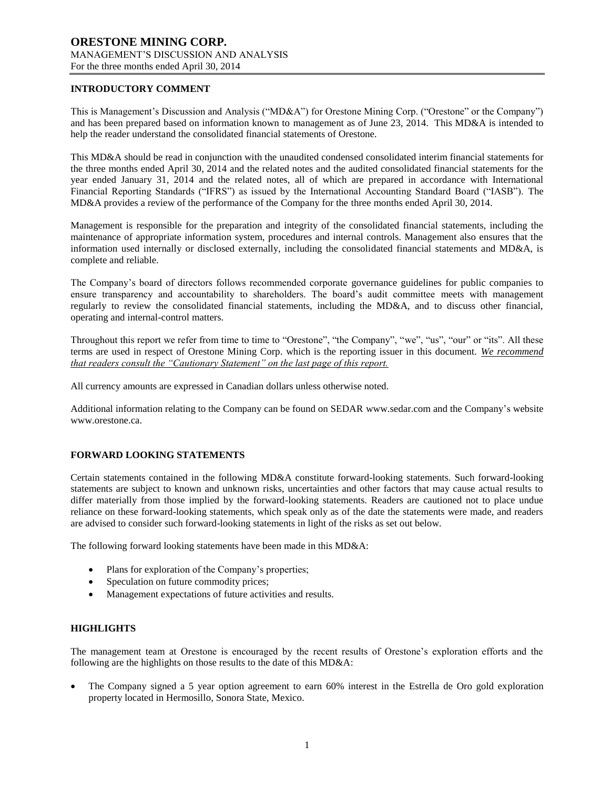### **INTRODUCTORY COMMENT**

This is Management's Discussion and Analysis ("MD&A") for Orestone Mining Corp. ("Orestone" or the Company") and has been prepared based on information known to management as of June 23, 2014. This MD&A is intended to help the reader understand the consolidated financial statements of Orestone.

This MD&A should be read in conjunction with the unaudited condensed consolidated interim financial statements for the three months ended April 30, 2014 and the related notes and the audited consolidated financial statements for the year ended January 31, 2014 and the related notes, all of which are prepared in accordance with International Financial Reporting Standards ("IFRS") as issued by the International Accounting Standard Board ("IASB"). The MD&A provides a review of the performance of the Company for the three months ended April 30, 2014.

Management is responsible for the preparation and integrity of the consolidated financial statements, including the maintenance of appropriate information system, procedures and internal controls. Management also ensures that the information used internally or disclosed externally, including the consolidated financial statements and MD&A, is complete and reliable.

The Company's board of directors follows recommended corporate governance guidelines for public companies to ensure transparency and accountability to shareholders. The board's audit committee meets with management regularly to review the consolidated financial statements, including the MD&A, and to discuss other financial, operating and internal-control matters.

Throughout this report we refer from time to time to "Orestone", "the Company", "we", "us", "our" or "its". All these terms are used in respect of Orestone Mining Corp. which is the reporting issuer in this document. *We recommend that readers consult the "Cautionary Statement" on the last page of this report.*

All currency amounts are expressed in Canadian dollars unless otherwise noted.

Additional information relating to the Company can be found on SEDAR www.sedar.com and the Company's website www.orestone.ca.

## **FORWARD LOOKING STATEMENTS**

Certain statements contained in the following MD&A constitute forward-looking statements. Such forward-looking statements are subject to known and unknown risks, uncertainties and other factors that may cause actual results to differ materially from those implied by the forward-looking statements. Readers are cautioned not to place undue reliance on these forward-looking statements, which speak only as of the date the statements were made, and readers are advised to consider such forward-looking statements in light of the risks as set out below.

The following forward looking statements have been made in this MD&A:

- Plans for exploration of the Company's properties;
- Speculation on future commodity prices;
- Management expectations of future activities and results.

#### **HIGHLIGHTS**

The management team at Orestone is encouraged by the recent results of Orestone's exploration efforts and the following are the highlights on those results to the date of this MD&A:

 The Company signed a 5 year option agreement to earn 60% interest in the Estrella de Oro gold exploration property located in Hermosillo, Sonora State, Mexico.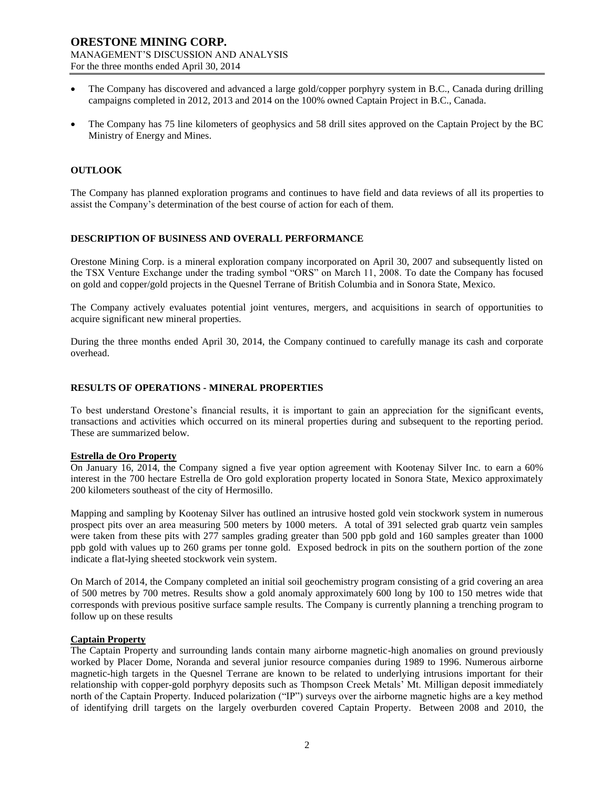- The Company has discovered and advanced a large gold/copper porphyry system in B.C., Canada during drilling campaigns completed in 2012, 2013 and 2014 on the 100% owned Captain Project in B.C., Canada.
- The Company has 75 line kilometers of geophysics and 58 drill sites approved on the Captain Project by the BC Ministry of Energy and Mines.

#### **OUTLOOK**

The Company has planned exploration programs and continues to have field and data reviews of all its properties to assist the Company's determination of the best course of action for each of them.

#### **DESCRIPTION OF BUSINESS AND OVERALL PERFORMANCE**

Orestone Mining Corp. is a mineral exploration company incorporated on April 30, 2007 and subsequently listed on the TSX Venture Exchange under the trading symbol "ORS" on March 11, 2008. To date the Company has focused on gold and copper/gold projects in the Quesnel Terrane of British Columbia and in Sonora State, Mexico.

The Company actively evaluates potential joint ventures, mergers, and acquisitions in search of opportunities to acquire significant new mineral properties.

During the three months ended April 30, 2014, the Company continued to carefully manage its cash and corporate overhead.

#### **RESULTS OF OPERATIONS - MINERAL PROPERTIES**

To best understand Orestone's financial results, it is important to gain an appreciation for the significant events, transactions and activities which occurred on its mineral properties during and subsequent to the reporting period. These are summarized below.

#### **Estrella de Oro Property**

On January 16, 2014, the Company signed a five year option agreement with Kootenay Silver Inc. to earn a 60% interest in the 700 hectare Estrella de Oro gold exploration property located in Sonora State, Mexico approximately 200 kilometers southeast of the city of Hermosillo.

Mapping and sampling by Kootenay Silver has outlined an intrusive hosted gold vein stockwork system in numerous prospect pits over an area measuring 500 meters by 1000 meters. A total of 391 selected grab quartz vein samples were taken from these pits with 277 samples grading greater than 500 ppb gold and 160 samples greater than 1000 ppb gold with values up to 260 grams per tonne gold. Exposed bedrock in pits on the southern portion of the zone indicate a flat-lying sheeted stockwork vein system.

On March of 2014, the Company completed an initial soil geochemistry program consisting of a grid covering an area of 500 metres by 700 metres. Results show a gold anomaly approximately 600 long by 100 to 150 metres wide that corresponds with previous positive surface sample results. The Company is currently planning a trenching program to follow up on these results

### **Captain Property**

The Captain Property and surrounding lands contain many airborne magnetic-high anomalies on ground previously worked by Placer Dome, Noranda and several junior resource companies during 1989 to 1996. Numerous airborne magnetic-high targets in the Quesnel Terrane are known to be related to underlying intrusions important for their relationship with copper-gold porphyry deposits such as Thompson Creek Metals' Mt. Milligan deposit immediately north of the Captain Property. Induced polarization ("IP") surveys over the airborne magnetic highs are a key method of identifying drill targets on the largely overburden covered Captain Property. Between 2008 and 2010, the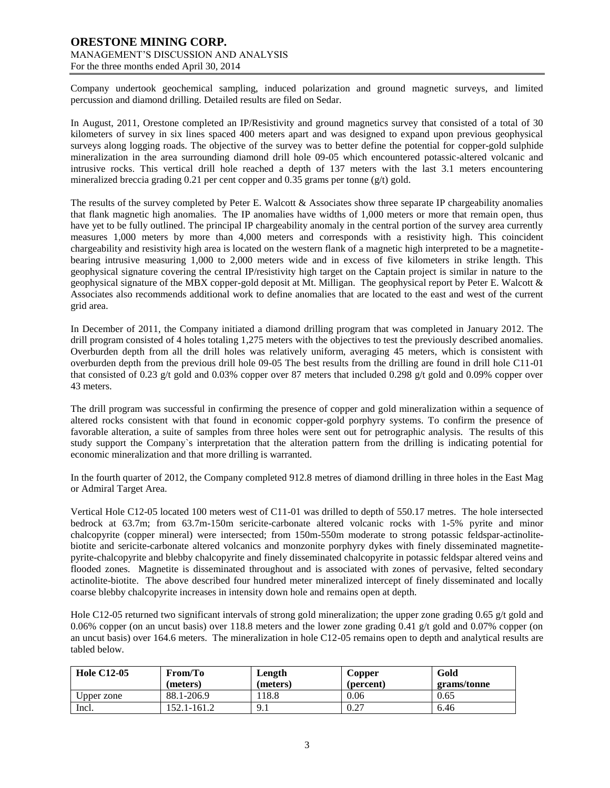Company undertook geochemical sampling, induced polarization and ground magnetic surveys, and limited percussion and diamond drilling. Detailed results are filed on Sedar.

In August, 2011, Orestone completed an IP/Resistivity and ground magnetics survey that consisted of a total of 30 kilometers of survey in six lines spaced 400 meters apart and was designed to expand upon previous geophysical surveys along logging roads. The objective of the survey was to better define the potential for copper-gold sulphide mineralization in the area surrounding diamond drill hole 09-05 which encountered potassic-altered volcanic and intrusive rocks. This vertical drill hole reached a depth of 137 meters with the last 3.1 meters encountering mineralized breccia grading 0.21 per cent copper and 0.35 grams per tonne (g/t) gold.

The results of the survey completed by Peter E. Walcott & Associates show three separate IP chargeability anomalies that flank magnetic high anomalies. The IP anomalies have widths of 1,000 meters or more that remain open, thus have yet to be fully outlined. The principal IP chargeability anomaly in the central portion of the survey area currently measures 1,000 meters by more than 4,000 meters and corresponds with a resistivity high. This coincident chargeability and resistivity high area is located on the western flank of a magnetic high interpreted to be a magnetitebearing intrusive measuring 1,000 to 2,000 meters wide and in excess of five kilometers in strike length. This geophysical signature covering the central IP/resistivity high target on the Captain project is similar in nature to the geophysical signature of the MBX copper-gold deposit at Mt. Milligan. The geophysical report by Peter E. Walcott & Associates also recommends additional work to define anomalies that are located to the east and west of the current grid area.

In December of 2011, the Company initiated a diamond drilling program that was completed in January 2012. The drill program consisted of 4 holes totaling 1,275 meters with the objectives to test the previously described anomalies. Overburden depth from all the drill holes was relatively uniform, averaging 45 meters, which is consistent with overburden depth from the previous drill hole 09-05 The best results from the drilling are found in drill hole C11-01 that consisted of 0.23 g/t gold and 0.03% copper over 87 meters that included 0.298 g/t gold and 0.09% copper over 43 meters.

The drill program was successful in confirming the presence of copper and gold mineralization within a sequence of altered rocks consistent with that found in economic copper-gold porphyry systems. To confirm the presence of favorable alteration, a suite of samples from three holes were sent out for petrographic analysis. The results of this study support the Company`s interpretation that the alteration pattern from the drilling is indicating potential for economic mineralization and that more drilling is warranted.

In the fourth quarter of 2012, the Company completed 912.8 metres of diamond drilling in three holes in the East Mag or Admiral Target Area.

Vertical Hole C12-05 located 100 meters west of C11-01 was drilled to depth of 550.17 metres. The hole intersected bedrock at 63.7m; from 63.7m-150m sericite-carbonate altered volcanic rocks with 1-5% pyrite and minor chalcopyrite (copper mineral) were intersected; from 150m-550m moderate to strong potassic feldspar-actinolitebiotite and sericite-carbonate altered volcanics and monzonite porphyry dykes with finely disseminated magnetitepyrite-chalcopyrite and blebby chalcopyrite and finely disseminated chalcopyrite in potassic feldspar altered veins and flooded zones. Magnetite is disseminated throughout and is associated with zones of pervasive, felted secondary actinolite-biotite. The above described four hundred meter mineralized intercept of finely disseminated and locally coarse blebby chalcopyrite increases in intensity down hole and remains open at depth.

Hole C12-05 returned two significant intervals of strong gold mineralization; the upper zone grading 0.65 g/t gold and 0.06% copper (on an uncut basis) over 118.8 meters and the lower zone grading 0.41 g/t gold and 0.07% copper (on an uncut basis) over 164.6 meters. The mineralization in hole C12-05 remains open to depth and analytical results are tabled below.

| <b>Hole C12-05</b> | From/To<br>(meters) | Length<br>(meters) | Copper<br>(percent) | Gold<br>grams/tonne |
|--------------------|---------------------|--------------------|---------------------|---------------------|
| Upper zone         | 88.1-206.9          | 118.8              | 0.06                | 0.65                |
| Incl.              | 152.1-161.2         | 9.1                | 0.27                | 6.46                |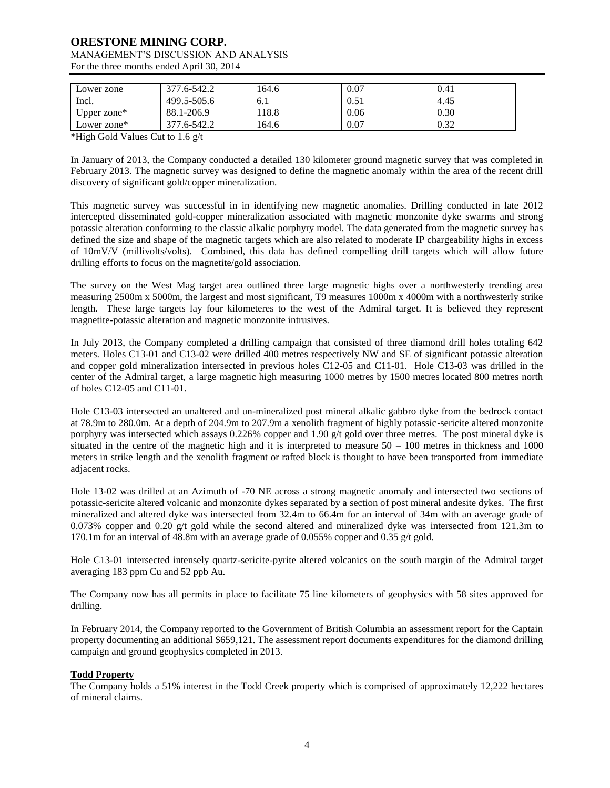# **ORESTONE MINING CORP.**

#### MANAGEMENT'S DISCUSSION AND ANALYSIS For the three months ended April 30, 2014

| Lower zone     | 377.6-542.2 | 164.6 | 0.07 | 0.41 |  |
|----------------|-------------|-------|------|------|--|
| Incl.          | 499.5-505.6 | 0. I  | 0.51 | 4.45 |  |
| Upper zone $*$ | 88.1-206.9  | 18.8  | 0.06 | 0.30 |  |
| Lower zone*    | 377.6-542.2 | 164.6 | 0.07 | 0.32 |  |

\*High Gold Values Cut to 1.6 g/t

In January of 2013, the Company conducted a detailed 130 kilometer ground magnetic survey that was completed in February 2013. The magnetic survey was designed to define the magnetic anomaly within the area of the recent drill discovery of significant gold/copper mineralization.

This magnetic survey was successful in in identifying new magnetic anomalies. Drilling conducted in late 2012 intercepted disseminated gold-copper mineralization associated with magnetic monzonite dyke swarms and strong potassic alteration conforming to the classic alkalic porphyry model. The data generated from the magnetic survey has defined the size and shape of the magnetic targets which are also related to moderate IP chargeability highs in excess of 10mV/V (millivolts/volts). Combined, this data has defined compelling drill targets which will allow future drilling efforts to focus on the magnetite/gold association.

The survey on the West Mag target area outlined three large magnetic highs over a northwesterly trending area measuring 2500m x 5000m, the largest and most significant, T9 measures 1000m x 4000m with a northwesterly strike length. These large targets lay four kilometeres to the west of the Admiral target. It is believed they represent magnetite-potassic alteration and magnetic monzonite intrusives.

In July 2013, the Company completed a drilling campaign that consisted of three diamond drill holes totaling 642 meters. Holes C13-01 and C13-02 were drilled 400 metres respectively NW and SE of significant potassic alteration and copper gold mineralization intersected in previous holes C12-05 and C11-01. Hole C13-03 was drilled in the center of the Admiral target, a large magnetic high measuring 1000 metres by 1500 metres located 800 metres north of holes C12-05 and C11-01.

Hole C13-03 intersected an unaltered and un-mineralized post mineral alkalic gabbro dyke from the bedrock contact at 78.9m to 280.0m. At a depth of 204.9m to 207.9m a xenolith fragment of highly potassic-sericite altered monzonite porphyry was intersected which assays 0.226% copper and 1.90 g/t gold over three metres. The post mineral dyke is situated in the centre of the magnetic high and it is interpreted to measure  $50 - 100$  metres in thickness and 1000 meters in strike length and the xenolith fragment or rafted block is thought to have been transported from immediate adjacent rocks.

Hole 13-02 was drilled at an Azimuth of -70 NE across a strong magnetic anomaly and intersected two sections of potassic-sericite altered volcanic and monzonite dykes separated by a section of post mineral andesite dykes. The first mineralized and altered dyke was intersected from 32.4m to 66.4m for an interval of 34m with an average grade of 0.073% copper and 0.20 g/t gold while the second altered and mineralized dyke was intersected from 121.3m to 170.1m for an interval of 48.8m with an average grade of 0.055% copper and 0.35 g/t gold.

Hole C13-01 intersected intensely quartz-sericite-pyrite altered volcanics on the south margin of the Admiral target averaging 183 ppm Cu and 52 ppb Au.

The Company now has all permits in place to facilitate 75 line kilometers of geophysics with 58 sites approved for drilling.

In February 2014, the Company reported to the Government of British Columbia an assessment report for the Captain property documenting an additional \$659,121. The assessment report documents expenditures for the diamond drilling campaign and ground geophysics completed in 2013.

## **Todd Property**

The Company holds a 51% interest in the Todd Creek property which is comprised of approximately 12,222 hectares of mineral claims.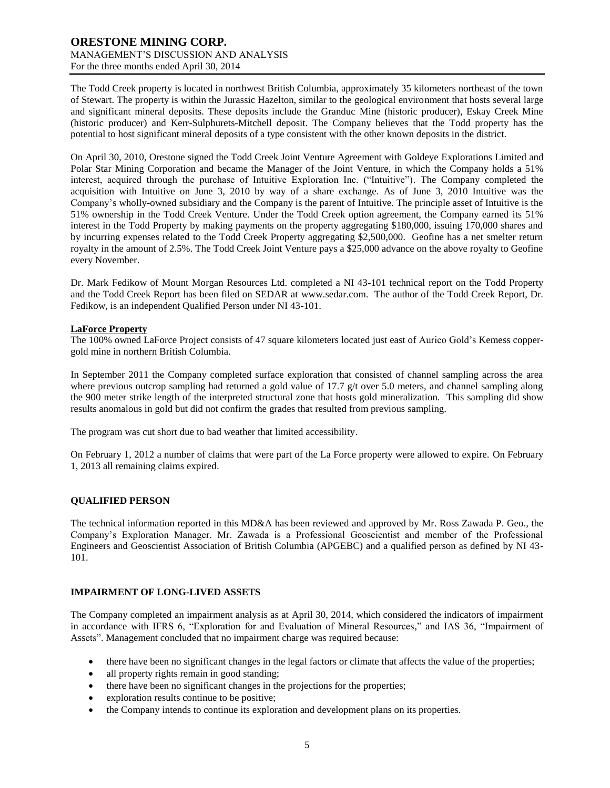The Todd Creek property is located in northwest British Columbia, approximately 35 kilometers northeast of the town of Stewart. The property is within the Jurassic Hazelton, similar to the geological environment that hosts several large and significant mineral deposits. These deposits include the Granduc Mine (historic producer), Eskay Creek Mine (historic producer) and Kerr-Sulphurets-Mitchell deposit. The Company believes that the Todd property has the potential to host significant mineral deposits of a type consistent with the other known deposits in the district.

On April 30, 2010, Orestone signed the Todd Creek Joint Venture Agreement with Goldeye Explorations Limited and Polar Star Mining Corporation and became the Manager of the Joint Venture, in which the Company holds a 51% interest, acquired through the purchase of Intuitive Exploration Inc. ("Intuitive"). The Company completed the acquisition with Intuitive on June 3, 2010 by way of a share exchange. As of June 3, 2010 Intuitive was the Company's wholly-owned subsidiary and the Company is the parent of Intuitive. The principle asset of Intuitive is the 51% ownership in the Todd Creek Venture. Under the Todd Creek option agreement, the Company earned its 51% interest in the Todd Property by making payments on the property aggregating \$180,000, issuing 170,000 shares and by incurring expenses related to the Todd Creek Property aggregating \$2,500,000. Geofine has a net smelter return royalty in the amount of 2.5%. The Todd Creek Joint Venture pays a \$25,000 advance on the above royalty to Geofine every November.

Dr. Mark Fedikow of Mount Morgan Resources Ltd. completed a NI 43-101 technical report on the Todd Property and the Todd Creek Report has been filed on SEDAR at [www.sedar.com.](http://www.sedar.com/) The author of the Todd Creek Report, Dr. Fedikow, is an independent Qualified Person under NI 43-101.

## **LaForce Property**

The 100% owned LaForce Project consists of 47 square kilometers located just east of Aurico Gold's Kemess coppergold mine in northern British Columbia.

In September 2011 the Company completed surface exploration that consisted of channel sampling across the area where previous outcrop sampling had returned a gold value of 17.7 g/t over 5.0 meters, and channel sampling along the 900 meter strike length of the interpreted structural zone that hosts gold mineralization. This sampling did show results anomalous in gold but did not confirm the grades that resulted from previous sampling.

The program was cut short due to bad weather that limited accessibility.

On February 1, 2012 a number of claims that were part of the La Force property were allowed to expire. On February 1, 2013 all remaining claims expired.

## **QUALIFIED PERSON**

The technical information reported in this MD&A has been reviewed and approved by Mr. Ross Zawada P. Geo., the Company's Exploration Manager. Mr. Zawada is a Professional Geoscientist and member of the Professional Engineers and Geoscientist Association of British Columbia (APGEBC) and a qualified person as defined by NI 43- 101.

#### **IMPAIRMENT OF LONG-LIVED ASSETS**

The Company completed an impairment analysis as at April 30, 2014, which considered the indicators of impairment in accordance with IFRS 6, "Exploration for and Evaluation of Mineral Resources," and IAS 36, "Impairment of Assets". Management concluded that no impairment charge was required because:

- there have been no significant changes in the legal factors or climate that affects the value of the properties;
- all property rights remain in good standing;
- there have been no significant changes in the projections for the properties;
- exploration results continue to be positive;
- the Company intends to continue its exploration and development plans on its properties.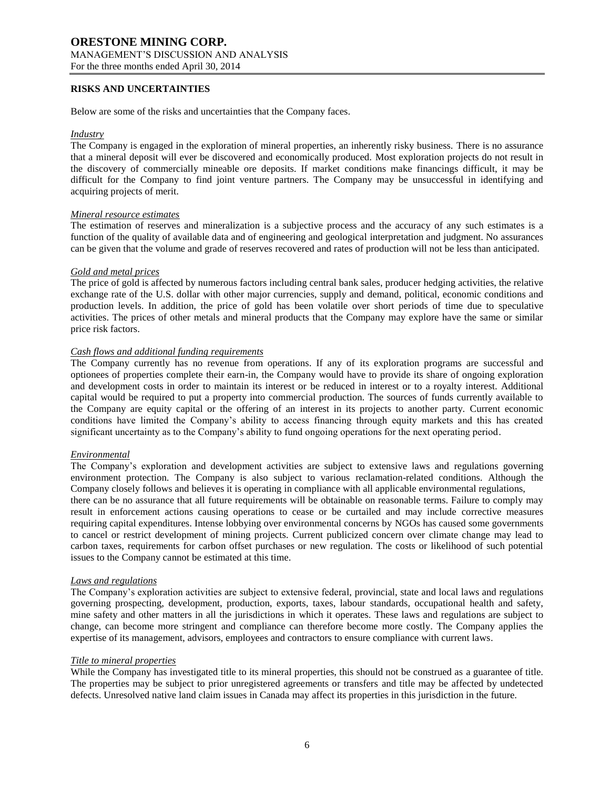#### **RISKS AND UNCERTAINTIES**

Below are some of the risks and uncertainties that the Company faces.

#### *Industry*

The Company is engaged in the exploration of mineral properties, an inherently risky business. There is no assurance that a mineral deposit will ever be discovered and economically produced. Most exploration projects do not result in the discovery of commercially mineable ore deposits. If market conditions make financings difficult, it may be difficult for the Company to find joint venture partners. The Company may be unsuccessful in identifying and acquiring projects of merit.

#### *Mineral resource estimates*

The estimation of reserves and mineralization is a subjective process and the accuracy of any such estimates is a function of the quality of available data and of engineering and geological interpretation and judgment. No assurances can be given that the volume and grade of reserves recovered and rates of production will not be less than anticipated.

#### *Gold and metal prices*

The price of gold is affected by numerous factors including central bank sales, producer hedging activities, the relative exchange rate of the U.S. dollar with other major currencies, supply and demand, political, economic conditions and production levels. In addition, the price of gold has been volatile over short periods of time due to speculative activities. The prices of other metals and mineral products that the Company may explore have the same or similar price risk factors.

## *Cash flows and additional funding requirements*

The Company currently has no revenue from operations. If any of its exploration programs are successful and optionees of properties complete their earn-in, the Company would have to provide its share of ongoing exploration and development costs in order to maintain its interest or be reduced in interest or to a royalty interest. Additional capital would be required to put a property into commercial production. The sources of funds currently available to the Company are equity capital or the offering of an interest in its projects to another party. Current economic conditions have limited the Company's ability to access financing through equity markets and this has created significant uncertainty as to the Company's ability to fund ongoing operations for the next operating period.

#### *Environmental*

The Company's exploration and development activities are subject to extensive laws and regulations governing environment protection. The Company is also subject to various reclamation-related conditions. Although the Company closely follows and believes it is operating in compliance with all applicable environmental regulations,

there can be no assurance that all future requirements will be obtainable on reasonable terms. Failure to comply may result in enforcement actions causing operations to cease or be curtailed and may include corrective measures requiring capital expenditures. Intense lobbying over environmental concerns by NGOs has caused some governments to cancel or restrict development of mining projects. Current publicized concern over climate change may lead to carbon taxes, requirements for carbon offset purchases or new regulation. The costs or likelihood of such potential issues to the Company cannot be estimated at this time.

#### *Laws and regulations*

The Company's exploration activities are subject to extensive federal, provincial, state and local laws and regulations governing prospecting, development, production, exports, taxes, labour standards, occupational health and safety, mine safety and other matters in all the jurisdictions in which it operates. These laws and regulations are subject to change, can become more stringent and compliance can therefore become more costly. The Company applies the expertise of its management, advisors, employees and contractors to ensure compliance with current laws.

#### *Title to mineral properties*

While the Company has investigated title to its mineral properties, this should not be construed as a guarantee of title. The properties may be subject to prior unregistered agreements or transfers and title may be affected by undetected defects. Unresolved native land claim issues in Canada may affect its properties in this jurisdiction in the future.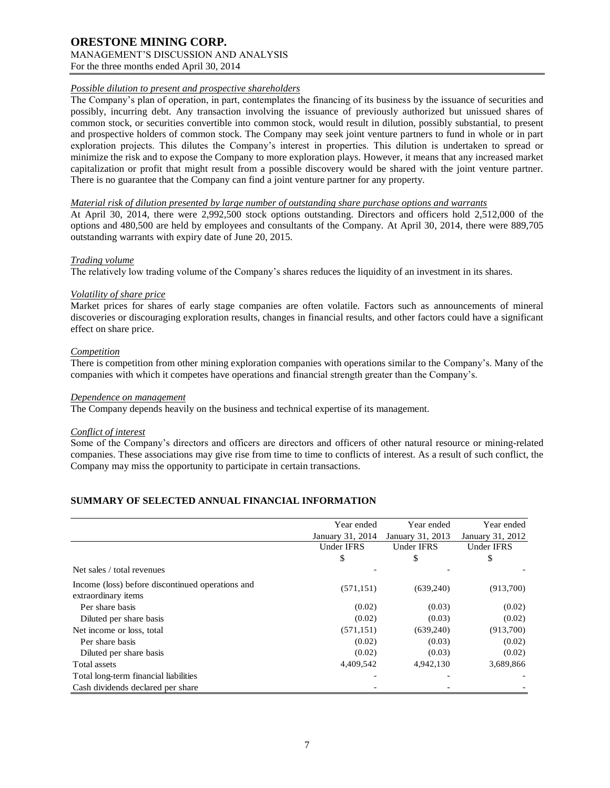# *Possible dilution to present and prospective shareholders*

The Company's plan of operation, in part, contemplates the financing of its business by the issuance of securities and possibly, incurring debt. Any transaction involving the issuance of previously authorized but unissued shares of common stock, or securities convertible into common stock, would result in dilution, possibly substantial, to present and prospective holders of common stock. The Company may seek joint venture partners to fund in whole or in part exploration projects. This dilutes the Company's interest in properties. This dilution is undertaken to spread or minimize the risk and to expose the Company to more exploration plays. However, it means that any increased market capitalization or profit that might result from a possible discovery would be shared with the joint venture partner. There is no guarantee that the Company can find a joint venture partner for any property.

#### *Material risk of dilution presented by large number of outstanding share purchase options and warrants*

At April 30, 2014, there were 2,992,500 stock options outstanding. Directors and officers hold 2,512,000 of the options and 480,500 are held by employees and consultants of the Company. At April 30, 2014, there were 889,705 outstanding warrants with expiry date of June 20, 2015.

#### *Trading volume*

The relatively low trading volume of the Company's shares reduces the liquidity of an investment in its shares.

#### *Volatility of share price*

Market prices for shares of early stage companies are often volatile. Factors such as announcements of mineral discoveries or discouraging exploration results, changes in financial results, and other factors could have a significant effect on share price.

#### *Competition*

There is competition from other mining exploration companies with operations similar to the Company's. Many of the companies with which it competes have operations and financial strength greater than the Company's.

#### *Dependence on management*

The Company depends heavily on the business and technical expertise of its management.

#### *Conflict of interest*

Some of the Company's directors and officers are directors and officers of other natural resource or mining-related companies. These associations may give rise from time to time to conflicts of interest. As a result of such conflict, the Company may miss the opportunity to participate in certain transactions.

## **SUMMARY OF SELECTED ANNUAL FINANCIAL INFORMATION**

|                                                                         | Year ended        | Year ended        | Year ended        |
|-------------------------------------------------------------------------|-------------------|-------------------|-------------------|
|                                                                         | January 31, 2014  | January 31, 2013  | January 31, 2012  |
|                                                                         | <b>Under IFRS</b> | <b>Under IFRS</b> | <b>Under IFRS</b> |
|                                                                         | \$                | \$                | \$                |
| Net sales / total revenues                                              |                   |                   |                   |
| Income (loss) before discontinued operations and<br>extraordinary items | (571, 151)        | (639,240)         | (913,700)         |
| Per share basis                                                         | (0.02)            | (0.03)            | (0.02)            |
| Diluted per share basis                                                 | (0.02)            | (0.03)            | (0.02)            |
| Net income or loss, total                                               | (571, 151)        | (639,240)         | (913,700)         |
| Per share basis                                                         | (0.02)            | (0.03)            | (0.02)            |
| Diluted per share basis                                                 | (0.02)            | (0.03)            | (0.02)            |
| Total assets                                                            | 4,409,542         | 4,942,130         | 3,689,866         |
| Total long-term financial liabilities                                   |                   |                   |                   |
| Cash dividends declared per share                                       |                   |                   |                   |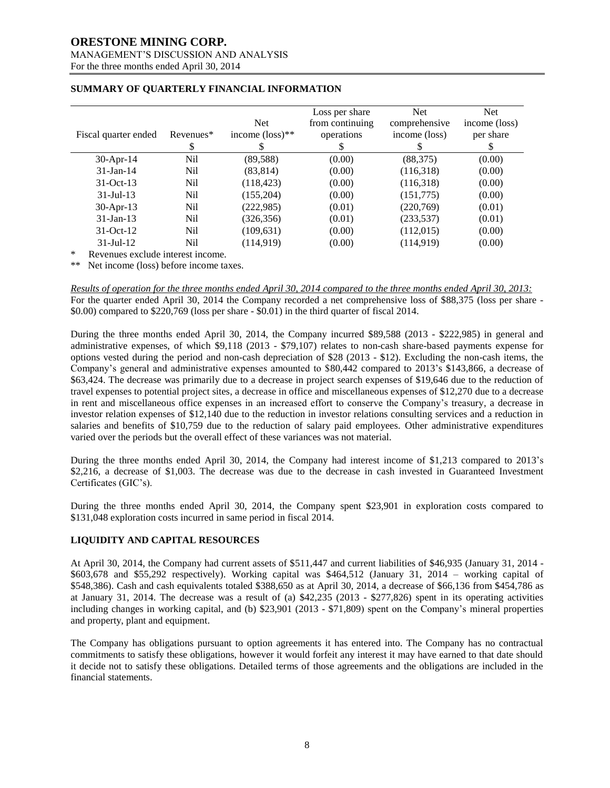## **ORESTONE MINING CORP.**

## MANAGEMENT'S DISCUSSION AND ANALYSIS

For the three months ended April 30, 2014

| Fiscal quarter ended | Revenues*<br>S  | Net<br>income $(\text{loss})^{**}$ | Loss per share<br>from continuing<br>operations | <b>Net</b><br>comprehensive<br>income (loss) | <b>Net</b><br>income (loss)<br>per share<br>S |
|----------------------|-----------------|------------------------------------|-------------------------------------------------|----------------------------------------------|-----------------------------------------------|
| $30$ -Apr-14         | Nil             | (89, 588)                          | (0.00)                                          | (88, 375)                                    | (0.00)                                        |
| $31$ -Jan-14         | Nil             | (83, 814)                          | (0.00)                                          | (116,318)                                    | (0.00)                                        |
| $31-Oct-13$          | Nil             | (118, 423)                         | (0.00)                                          | (116,318)                                    | (0.00)                                        |
| $31 -$ Jul $-13$     | Nil             | (155,204)                          | (0.00)                                          | (151, 775)                                   | (0.00)                                        |
| $30$ -Apr-13         | N <sub>il</sub> | (222, 985)                         | (0.01)                                          | (220,769)                                    | (0.01)                                        |
| $31$ -Jan-13         | Nil             | (326, 356)                         | (0.01)                                          | (233, 537)                                   | (0.01)                                        |
| $31-Oct-12$          | Nil             | (109, 631)                         | (0.00)                                          | (112,015)                                    | (0.00)                                        |
| $31$ -Jul-12         | Nil             | (114, 919)                         | (0.00)                                          | (114, 919)                                   | (0.00)                                        |

## **SUMMARY OF QUARTERLY FINANCIAL INFORMATION**

Revenues exclude interest income.

\*\* Net income (loss) before income taxes.

*Results of operation for the three months ended April 30, 2014 compared to the three months ended April 30, 2013:* For the quarter ended April 30, 2014 the Company recorded a net comprehensive loss of \$88,375 (loss per share - \$0.00) compared to \$220,769 (loss per share - \$0.01) in the third quarter of fiscal 2014.

During the three months ended April 30, 2014, the Company incurred \$89,588 (2013 - \$222,985) in general and administrative expenses, of which \$9,118 (2013 - \$79,107) relates to non-cash share-based payments expense for options vested during the period and non-cash depreciation of \$28 (2013 - \$12). Excluding the non-cash items, the Company's general and administrative expenses amounted to \$80,442 compared to 2013's \$143,866, a decrease of \$63,424. The decrease was primarily due to a decrease in project search expenses of \$19,646 due to the reduction of travel expenses to potential project sites, a decrease in office and miscellaneous expenses of \$12,270 due to a decrease in rent and miscellaneous office expenses in an increased effort to conserve the Company's treasury, a decrease in investor relation expenses of \$12,140 due to the reduction in investor relations consulting services and a reduction in salaries and benefits of \$10,759 due to the reduction of salary paid employees. Other administrative expenditures varied over the periods but the overall effect of these variances was not material.

During the three months ended April 30, 2014, the Company had interest income of \$1,213 compared to 2013's \$2,216, a decrease of \$1,003. The decrease was due to the decrease in cash invested in Guaranteed Investment Certificates (GIC's).

During the three months ended April 30, 2014, the Company spent \$23,901 in exploration costs compared to \$131,048 exploration costs incurred in same period in fiscal 2014.

## **LIQUIDITY AND CAPITAL RESOURCES**

At April 30, 2014, the Company had current assets of \$511,447 and current liabilities of \$46,935 (January 31, 2014 - \$603,678 and \$55,292 respectively). Working capital was \$464,512 (January 31, 2014 – working capital of \$548,386). Cash and cash equivalents totaled \$388,650 as at April 30, 2014, a decrease of \$66,136 from \$454,786 as at January 31, 2014. The decrease was a result of (a) \$42,235 (2013 - \$277,826) spent in its operating activities including changes in working capital, and (b) \$23,901 (2013 - \$71,809) spent on the Company's mineral properties and property, plant and equipment.

The Company has obligations pursuant to option agreements it has entered into. The Company has no contractual commitments to satisfy these obligations, however it would forfeit any interest it may have earned to that date should it decide not to satisfy these obligations. Detailed terms of those agreements and the obligations are included in the financial statements.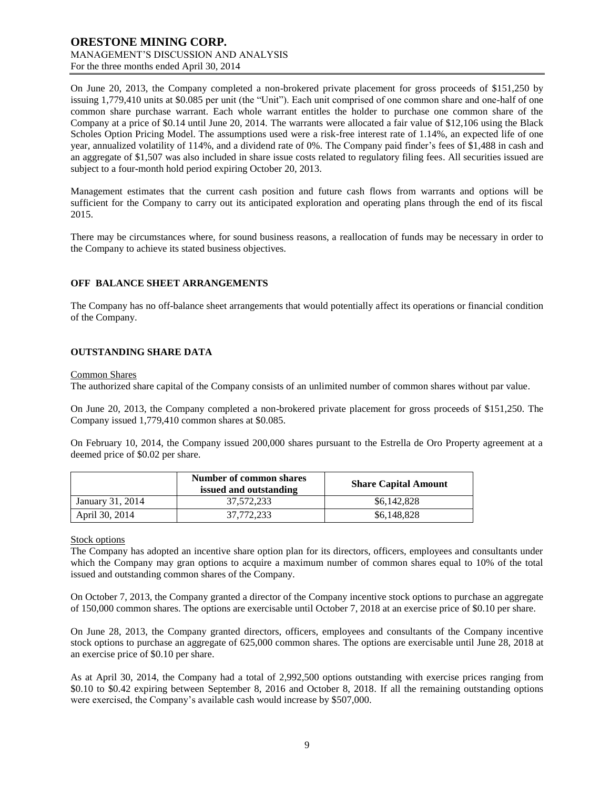On June 20, 2013, the Company completed a non-brokered private placement for gross proceeds of \$151,250 by issuing 1,779,410 units at \$0.085 per unit (the "Unit"). Each unit comprised of one common share and one-half of one common share purchase warrant. Each whole warrant entitles the holder to purchase one common share of the Company at a price of \$0.14 until June 20, 2014. The warrants were allocated a fair value of \$12,106 using the Black Scholes Option Pricing Model. The assumptions used were a risk-free interest rate of 1.14%, an expected life of one year, annualized volatility of 114%, and a dividend rate of 0%. The Company paid finder's fees of \$1,488 in cash and an aggregate of \$1,507 was also included in share issue costs related to regulatory filing fees. All securities issued are subject to a four-month hold period expiring October 20, 2013.

Management estimates that the current cash position and future cash flows from warrants and options will be sufficient for the Company to carry out its anticipated exploration and operating plans through the end of its fiscal 2015.

There may be circumstances where, for sound business reasons, a reallocation of funds may be necessary in order to the Company to achieve its stated business objectives.

#### **OFF BALANCE SHEET ARRANGEMENTS**

The Company has no off-balance sheet arrangements that would potentially affect its operations or financial condition of the Company.

#### **OUTSTANDING SHARE DATA**

#### Common Shares

The authorized share capital of the Company consists of an unlimited number of common shares without par value.

On June 20, 2013, the Company completed a non-brokered private placement for gross proceeds of \$151,250. The Company issued 1,779,410 common shares at \$0.085.

On February 10, 2014, the Company issued 200,000 shares pursuant to the Estrella de Oro Property agreement at a deemed price of \$0.02 per share.

|                  | Number of common shares<br>issued and outstanding | <b>Share Capital Amount</b> |
|------------------|---------------------------------------------------|-----------------------------|
| January 31, 2014 | 37.572.233                                        | \$6,142,828                 |
| April 30, 2014   | 37.772.233                                        | \$6,148,828                 |

#### Stock options

The Company has adopted an incentive share option plan for its directors, officers, employees and consultants under which the Company may gran options to acquire a maximum number of common shares equal to 10% of the total issued and outstanding common shares of the Company.

On October 7, 2013, the Company granted a director of the Company incentive stock options to purchase an aggregate of 150,000 common shares. The options are exercisable until October 7, 2018 at an exercise price of \$0.10 per share.

On June 28, 2013, the Company granted directors, officers, employees and consultants of the Company incentive stock options to purchase an aggregate of 625,000 common shares. The options are exercisable until June 28, 2018 at an exercise price of \$0.10 per share.

As at April 30, 2014, the Company had a total of 2,992,500 options outstanding with exercise prices ranging from \$0.10 to \$0.42 expiring between September 8, 2016 and October 8, 2018. If all the remaining outstanding options were exercised, the Company's available cash would increase by \$507,000.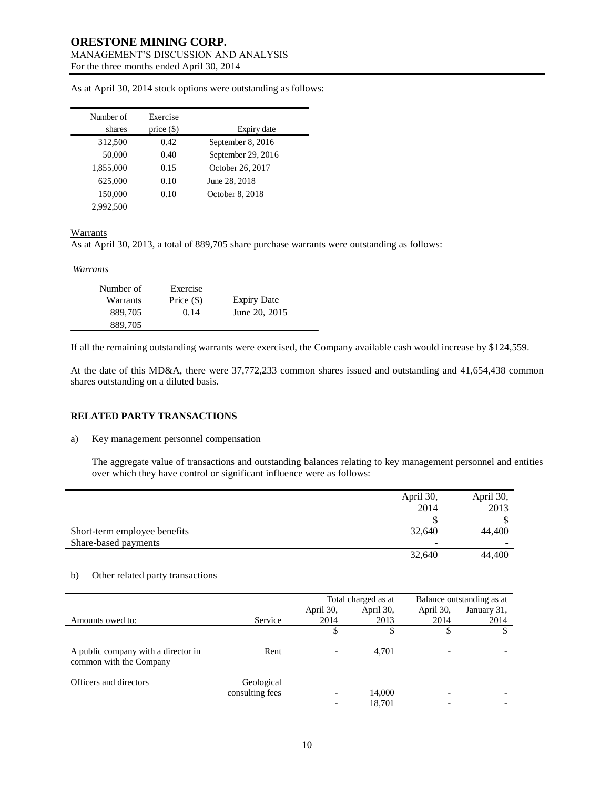| Number of<br>shares | Exercise<br>price $(\$)$ | Expiry date        |
|---------------------|--------------------------|--------------------|
| 312,500             | 0.42                     | September 8, 2016  |
| 50,000              | 0.40                     | September 29, 2016 |
| 1,855,000           | 0.15                     | October 26, 2017   |
| 625,000             | 0.10                     | June 28, 2018      |
| 150,000             | 0.10                     | October 8, 2018    |
| 2,992,500           |                          |                    |

As at April 30, 2014 stock options were outstanding as follows:

#### Warrants

As at April 30, 2013, a total of 889,705 share purchase warrants were outstanding as follows:

*Warrants*

| Number of | Exercise     |                    |
|-----------|--------------|--------------------|
| Warrants  | Price $(\$)$ | <b>Expiry Date</b> |
| 889,705   | 0.14         | June 20, 2015      |
| 889.705   |              |                    |

If all the remaining outstanding warrants were exercised, the Company available cash would increase by \$124,559.

At the date of this MD&A, there were 37,772,233 common shares issued and outstanding and 41,654,438 common shares outstanding on a diluted basis.

## **RELATED PARTY TRANSACTIONS**

#### a) Key management personnel compensation

The aggregate value of transactions and outstanding balances relating to key management personnel and entities over which they have control or significant influence were as follows:

|                              | April 30, | April 30, |
|------------------------------|-----------|-----------|
|                              | 2014      | 2013      |
|                              |           |           |
| Short-term employee benefits | 32,640    | 44,400    |
| Share-based payments         | -         |           |
|                              | 32,640    | 44,400    |

## b) Other related party transactions

|                                                                |                 | Total charged as at |           | Balance outstanding as at |             |
|----------------------------------------------------------------|-----------------|---------------------|-----------|---------------------------|-------------|
|                                                                |                 | April 30,           | April 30, | April 30,                 | January 31, |
| Amounts owed to:                                               | Service         | 2014                | 2013      | 2014                      | 2014        |
|                                                                |                 |                     |           |                           |             |
| A public company with a director in<br>common with the Company | Rent            |                     | 4,701     |                           |             |
| Officers and directors                                         | Geological      |                     |           |                           |             |
|                                                                | consulting fees |                     | 14,000    |                           |             |
|                                                                |                 |                     | 18,701    |                           |             |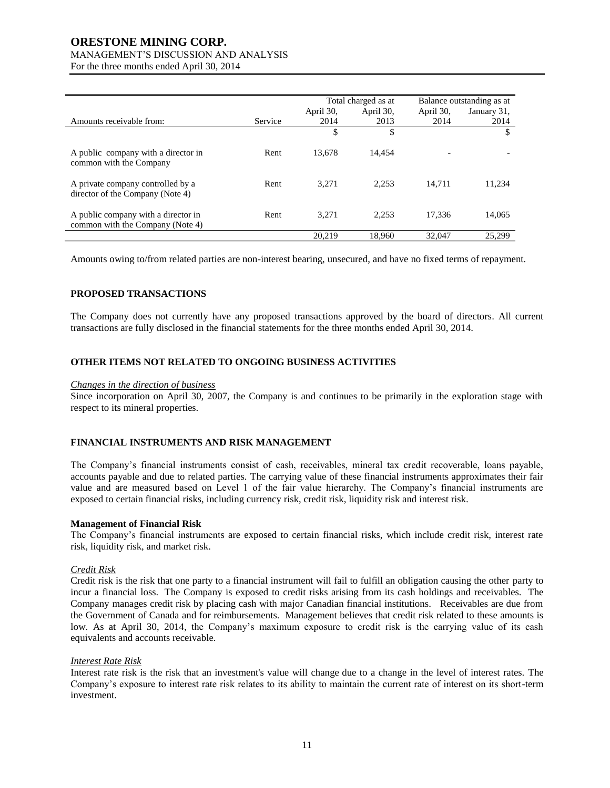## **ORESTONE MINING CORP.**

## MANAGEMENT'S DISCUSSION AND ANALYSIS

For the three months ended April 30, 2014

|                                                                         |         | Total charged as at |           |           | Balance outstanding as at |
|-------------------------------------------------------------------------|---------|---------------------|-----------|-----------|---------------------------|
|                                                                         |         | April 30,           | April 30, | April 30, | January 31,               |
| Amounts receivable from:                                                | Service | 2014                | 2013      | 2014      | 2014                      |
|                                                                         |         | \$                  | \$        |           | \$                        |
| A public company with a director in<br>common with the Company          | Rent    | 13.678              | 14.454    |           |                           |
| A private company controlled by a<br>director of the Company (Note 4)   | Rent    | 3.271               | 2.253     | 14.711    | 11,234                    |
| A public company with a director in<br>common with the Company (Note 4) | Rent    | 3.271               | 2.253     | 17.336    | 14,065                    |
|                                                                         |         | 20.219              | 18.960    | 32,047    | 25.299                    |

Amounts owing to/from related parties are non-interest bearing, unsecured, and have no fixed terms of repayment.

#### **PROPOSED TRANSACTIONS**

The Company does not currently have any proposed transactions approved by the board of directors. All current transactions are fully disclosed in the financial statements for the three months ended April 30, 2014.

#### **OTHER ITEMS NOT RELATED TO ONGOING BUSINESS ACTIVITIES**

#### *Changes in the direction of business*

Since incorporation on April 30, 2007, the Company is and continues to be primarily in the exploration stage with respect to its mineral properties.

#### **FINANCIAL INSTRUMENTS AND RISK MANAGEMENT**

The Company's financial instruments consist of cash, receivables, mineral tax credit recoverable, loans payable, accounts payable and due to related parties. The carrying value of these financial instruments approximates their fair value and are measured based on Level 1 of the fair value hierarchy. The Company's financial instruments are exposed to certain financial risks, including currency risk, credit risk, liquidity risk and interest risk.

#### **Management of Financial Risk**

The Company's financial instruments are exposed to certain financial risks, which include credit risk, interest rate risk, liquidity risk, and market risk.

#### *Credit Risk*

Credit risk is the risk that one party to a financial instrument will fail to fulfill an obligation causing the other party to incur a financial loss. The Company is exposed to credit risks arising from its cash holdings and receivables. The Company manages credit risk by placing cash with major Canadian financial institutions. Receivables are due from the Government of Canada and for reimbursements. Management believes that credit risk related to these amounts is low. As at April 30, 2014, the Company's maximum exposure to credit risk is the carrying value of its cash equivalents and accounts receivable.

#### *Interest Rate Risk*

Interest rate risk is the risk that an investment's value will change due to a change in the level of interest rates. The Company's exposure to interest rate risk relates to its ability to maintain the current rate of interest on its short-term investment.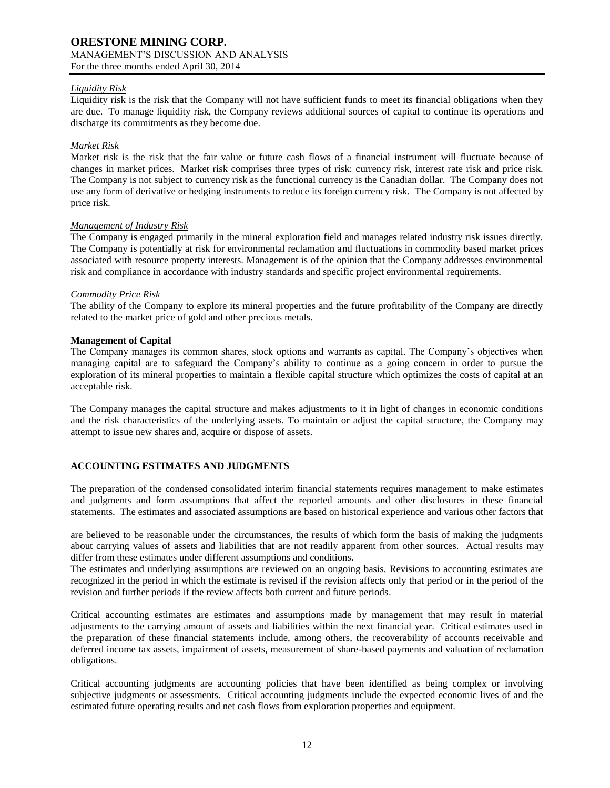### *Liquidity Risk*

Liquidity risk is the risk that the Company will not have sufficient funds to meet its financial obligations when they are due. To manage liquidity risk, the Company reviews additional sources of capital to continue its operations and discharge its commitments as they become due.

### *Market Risk*

Market risk is the risk that the fair value or future cash flows of a financial instrument will fluctuate because of changes in market prices. Market risk comprises three types of risk: currency risk, interest rate risk and price risk. The Company is not subject to currency risk as the functional currency is the Canadian dollar. The Company does not use any form of derivative or hedging instruments to reduce its foreign currency risk. The Company is not affected by price risk.

#### *Management of Industry Risk*

The Company is engaged primarily in the mineral exploration field and manages related industry risk issues directly. The Company is potentially at risk for environmental reclamation and fluctuations in commodity based market prices associated with resource property interests. Management is of the opinion that the Company addresses environmental risk and compliance in accordance with industry standards and specific project environmental requirements.

#### *Commodity Price Risk*

The ability of the Company to explore its mineral properties and the future profitability of the Company are directly related to the market price of gold and other precious metals.

## **Management of Capital**

The Company manages its common shares, stock options and warrants as capital. The Company's objectives when managing capital are to safeguard the Company's ability to continue as a going concern in order to pursue the exploration of its mineral properties to maintain a flexible capital structure which optimizes the costs of capital at an acceptable risk.

The Company manages the capital structure and makes adjustments to it in light of changes in economic conditions and the risk characteristics of the underlying assets. To maintain or adjust the capital structure, the Company may attempt to issue new shares and, acquire or dispose of assets.

## **ACCOUNTING ESTIMATES AND JUDGMENTS**

The preparation of the condensed consolidated interim financial statements requires management to make estimates and judgments and form assumptions that affect the reported amounts and other disclosures in these financial statements. The estimates and associated assumptions are based on historical experience and various other factors that

are believed to be reasonable under the circumstances, the results of which form the basis of making the judgments about carrying values of assets and liabilities that are not readily apparent from other sources. Actual results may differ from these estimates under different assumptions and conditions.

The estimates and underlying assumptions are reviewed on an ongoing basis. Revisions to accounting estimates are recognized in the period in which the estimate is revised if the revision affects only that period or in the period of the revision and further periods if the review affects both current and future periods.

Critical accounting estimates are estimates and assumptions made by management that may result in material adjustments to the carrying amount of assets and liabilities within the next financial year. Critical estimates used in the preparation of these financial statements include, among others, the recoverability of accounts receivable and deferred income tax assets, impairment of assets, measurement of share-based payments and valuation of reclamation obligations.

Critical accounting judgments are accounting policies that have been identified as being complex or involving subjective judgments or assessments. Critical accounting judgments include the expected economic lives of and the estimated future operating results and net cash flows from exploration properties and equipment.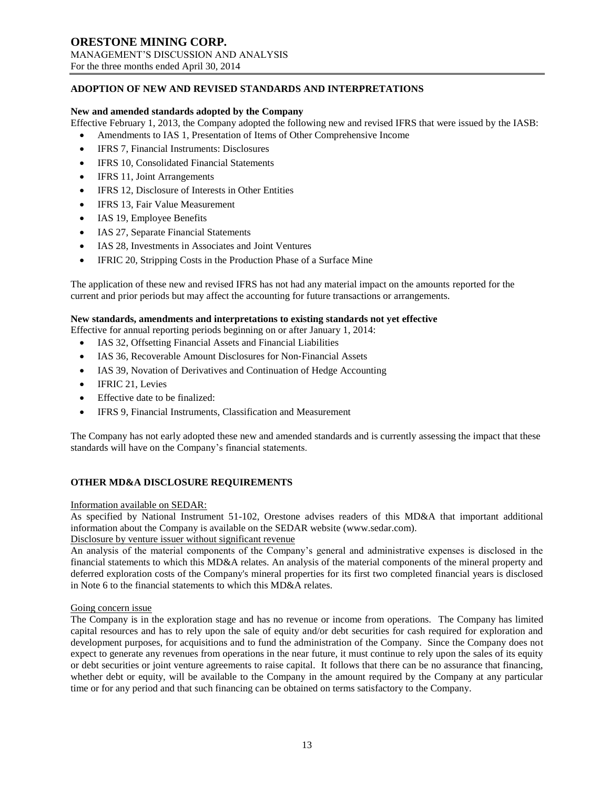## **ORESTONE MINING CORP.** MANAGEMENT'S DISCUSSION AND ANALYSIS

For the three months ended April 30, 2014

## **ADOPTION OF NEW AND REVISED STANDARDS AND INTERPRETATIONS**

## **New and amended standards adopted by the Company**

Effective February 1, 2013, the Company adopted the following new and revised IFRS that were issued by the IASB:

- Amendments to IAS 1, Presentation of Items of Other Comprehensive Income
- IFRS 7, Financial Instruments: Disclosures
- IFRS 10, Consolidated Financial Statements
- IFRS 11, Joint Arrangements
- IFRS 12, Disclosure of Interests in Other Entities
- IFRS 13, Fair Value Measurement
- IAS 19, Employee Benefits
- IAS 27, Separate Financial Statements
- IAS 28, Investments in Associates and Joint Ventures
- IFRIC 20, Stripping Costs in the Production Phase of a Surface Mine

The application of these new and revised IFRS has not had any material impact on the amounts reported for the current and prior periods but may affect the accounting for future transactions or arrangements.

#### **New standards, amendments and interpretations to existing standards not yet effective**

Effective for annual reporting periods beginning on or after January 1, 2014:

- IAS 32, Offsetting Financial Assets and Financial Liabilities
- IAS 36, Recoverable Amount Disclosures for Non‐Financial Assets
- IAS 39, Novation of Derivatives and Continuation of Hedge Accounting
- IFRIC 21, Levies
- Effective date to be finalized:
- IFRS 9, Financial Instruments, Classification and Measurement

The Company has not early adopted these new and amended standards and is currently assessing the impact that these standards will have on the Company's financial statements.

#### **OTHER MD&A DISCLOSURE REQUIREMENTS**

#### Information available on SEDAR:

As specified by National Instrument 51-102, Orestone advises readers of this MD&A that important additional information about the Company is available on the SEDAR website (www.sedar.com).

## Disclosure by venture issuer without significant revenue

An analysis of the material components of the Company's general and administrative expenses is disclosed in the financial statements to which this MD&A relates. An analysis of the material components of the mineral property and deferred exploration costs of the Company's mineral properties for its first two completed financial years is disclosed in Note 6 to the financial statements to which this MD&A relates.

#### Going concern issue

The Company is in the exploration stage and has no revenue or income from operations. The Company has limited capital resources and has to rely upon the sale of equity and/or debt securities for cash required for exploration and development purposes, for acquisitions and to fund the administration of the Company. Since the Company does not expect to generate any revenues from operations in the near future, it must continue to rely upon the sales of its equity or debt securities or joint venture agreements to raise capital. It follows that there can be no assurance that financing, whether debt or equity, will be available to the Company in the amount required by the Company at any particular time or for any period and that such financing can be obtained on terms satisfactory to the Company.